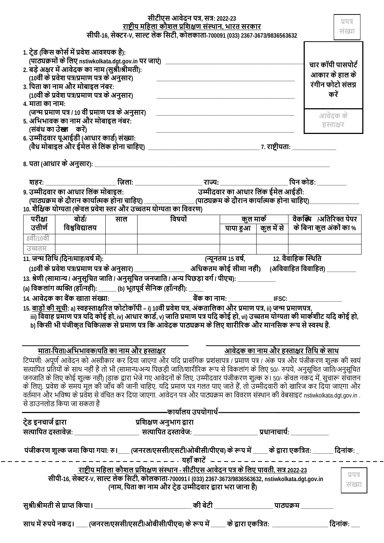|                                                                                                                                                                                                                                                                                                             | सीपी-16, सेक्टर-V, साल्ट लेक सिटी, कोलकाता-700091 (033) 2367-3673/9836563632 | प्रपत्र<br>संख्या                                                |                                                                                                                                                                                                                                                                                                                                                                                                                                                                                                                                                                                                                                                                                                       |              |                                   |                                    |                                              |                        |
|-------------------------------------------------------------------------------------------------------------------------------------------------------------------------------------------------------------------------------------------------------------------------------------------------------------|------------------------------------------------------------------------------|------------------------------------------------------------------|-------------------------------------------------------------------------------------------------------------------------------------------------------------------------------------------------------------------------------------------------------------------------------------------------------------------------------------------------------------------------------------------------------------------------------------------------------------------------------------------------------------------------------------------------------------------------------------------------------------------------------------------------------------------------------------------------------|--------------|-----------------------------------|------------------------------------|----------------------------------------------|------------------------|
| 1. ट्रेड (किस कोर्स में प्रवेश आवश्यक है):<br>(पाठ्यक्रमों के लिए nstiwkolkata.dgt.gov.in पर जाएं)<br>2. बड़े अक्षर में आवेदक का नाम (सुश्री/श्रीमती):<br>(10वीं के प्रवेश पत्र/प्रमाण पत्र के अनुसार)<br>3. पिता का नाम और मोबाइल नंबर:<br>(10वीं के प्रवेश पत्र/प्रमाण पत्र के अनुसार)<br>4. माता का नाम: |                                                                              | चार कॉपी पासपोर्ट<br>आकार के हाल के<br>रंगीन फोटो संलग्न<br>करें |                                                                                                                                                                                                                                                                                                                                                                                                                                                                                                                                                                                                                                                                                                       |              |                                   |                                    |                                              |                        |
| (जन्म प्रमाण पत्र / 10 वीं प्रमाण पत्र के अनुसार)<br>5. अभिभावक का नाम और मोबाइल नंबर:<br>(संबंध का उे <b>ख्त</b> करें)                                                                                                                                                                                     |                                                                              | आवेदक के<br>हस्ताक्षर                                            |                                                                                                                                                                                                                                                                                                                                                                                                                                                                                                                                                                                                                                                                                                       |              |                                   |                                    |                                              |                        |
| 6. उम्मीदवार यूआईडी (आधार कार्ड) संख्या:                                                                                                                                                                                                                                                                    |                                                                              |                                                                  |                                                                                                                                                                                                                                                                                                                                                                                                                                                                                                                                                                                                                                                                                                       |              |                                   |                                    |                                              |                        |
|                                                                                                                                                                                                                                                                                                             | 8. पता (आधार के अनुसार): _                                                   |                                                                  |                                                                                                                                                                                                                                                                                                                                                                                                                                                                                                                                                                                                                                                                                                       |              |                                   |                                    |                                              |                        |
|                                                                                                                                                                                                                                                                                                             | 9. उम्मीदवार का आधार लिंक मोबाइल:                                            |                                                                  | 10. शैक्षिक योग्यता (केवल प्रवेश स्तर और उच्चतम योग्यता का विवरण)                                                                                                                                                                                                                                                                                                                                                                                                                                                                                                                                                                                                                                     |              | उम्मीदवार का आधार लिंक ईमेल आईडी: |                                    | पिन कोड:                                     |                        |
| परीक्षा                                                                                                                                                                                                                                                                                                     | बोर्ड/                                                                       | साल                                                              |                                                                                                                                                                                                                                                                                                                                                                                                                                                                                                                                                                                                                                                                                                       | विषयों       |                                   | कुल मार्क<br>पाया हुआ   कुल में से |                                              | वैकक्षि /अतिरिक्त पेपर |
| 8वीं/10वीं                                                                                                                                                                                                                                                                                                  | उत्तीर्ण   विश्वविद्यालय                                                     |                                                                  |                                                                                                                                                                                                                                                                                                                                                                                                                                                                                                                                                                                                                                                                                                       |              |                                   |                                    | के बिना कुल अंकों का %                       |                        |
| उच्चतम                                                                                                                                                                                                                                                                                                      |                                                                              |                                                                  |                                                                                                                                                                                                                                                                                                                                                                                                                                                                                                                                                                                                                                                                                                       |              |                                   |                                    |                                              |                        |
|                                                                                                                                                                                                                                                                                                             | 11. जन्म तिथि (दिन/माह/वर्ष में):<br>14. आवेटक का बैंक खाता संख्या:          |                                                                  | (10वीं के प्रवेश पत्र/प्रमाण पत्र के अनुसार) _______________________ अधिकतम कोई सीमा नही)     (अविवाहित विवाहित) ____<br>13. श्रेणी (सामान्य / अनुसूचित जाति / अनुसूचित जनजाति / अन्य पिछड़ा वर्ग / पीएच): _________<br>(a) विकलांग व्यक्ति (हॉॅं/नहीं): ______ (b) भूतपूर्व सैनिक (हॉॅं/नहीं): _<br>15. <u>बाड़ों की सूची</u> : a) स्वहस्ताक्षरित फोटोकॉपी – i) 10 <mark>वीं प्रवेश पत्र, अंकतालिका और प्रमाण पत्र, ii) जन्म प्रमाणपत्र,</mark><br>iii) विवाह प्रमाण पत्र यदि कोई हो, iv) आधार कार्ड, v) जाति प्रमाण पत्र यदि कोई हो, vi) उच्चतम योग्यता की मार्कशीट यदि कोई हो,<br>b) किसी भी पंजीकृत चिकित्सक से प्रमाण पत्र कि आवेदक पाठ्यक्रम के लिए शारीरिक और मानसिक रूप से स्वस्थ है.         | बैंक का नाम: |                                   | IFSC:                              |                                              |                        |
|                                                                                                                                                                                                                                                                                                             | माता-पिता/अभिभा <u>वक/पति का नाम और हस्ताक्षर</u>                            |                                                                  |                                                                                                                                                                                                                                                                                                                                                                                                                                                                                                                                                                                                                                                                                                       |              |                                   |                                    | <u>आवेदक का नाम और हस्ताक्षर तिथि के साथ</u> |                        |
|                                                                                                                                                                                                                                                                                                             | से डाउनलोड किया जा सकता है                                                   |                                                                  | टिप्पणी: अपूर्ण आवेदन को अस्वीकार कर दिया जाएगा और यदि प्रासंगिक प्रशंसापत्र / प्रमाण पत्र / अंक पत्र और पंजीकरण शुल्क की स्वयं<br>सत्यापित प्रतियों के साथ नहीं है तो भी (सामान्य/अन्य पिछड़ी जाति/शारीरिक रूप से विकलांग के लिए 50/- रुपये, अनुसूचित जाति/अनुसूचित<br>जनजाति के लिए कोई शुल्क नहीं) [डाक द्वारा भेजे गए आवेदनों के लिए, उम्मीदवार पंजीकरण शुल्क रु। 50/- केवल नकद में, सुचारू संचालन<br>के लिए . प्रवेश के समय मूल की जाँच की जानी चाहिए. यदि प्रमाण पत्र गलत पाए जाते हैं, तो उम्मीदवारी को खारिज कर दिया जाएगा और<br>वर्तमान और भविष्य के प्रवेश से वंचित कर दिया जाएगा. आवेदन पत्र और पाठ्यक्रम का विवरण संस्थान की वेबसाइट nstiwkolkata.dgt.gov.in .<br>————कार्यालय उपयोगार्थ- |              |                                   |                                    |                                              |                        |
| ट्रेड इनचार्ज द्वारा                                                                                                                                                                                                                                                                                        |                                                                              |                                                                  | प्रशिक्षण अनुभाग द्वारा                                                                                                                                                                                                                                                                                                                                                                                                                                                                                                                                                                                                                                                                               |              |                                   |                                    |                                              |                        |
|                                                                                                                                                                                                                                                                                                             |                                                                              |                                                                  |                                                                                                                                                                                                                                                                                                                                                                                                                                                                                                                                                                                                                                                                                                       |              |                                   |                                    |                                              |                        |
|                                                                                                                                                                                                                                                                                                             |                                                                              |                                                                  | पंजीकरण शुल्क जमा किया गया: रु। ___ (जनरल/एससी/एसटी/ओबीसी/पीएच) के रूप में ____ के द्वारा एकत्रित: ______ दिनांक: _<br>-  –  –  –  –  –  -  पहाँ काटें  –  –  -                                                                                                                                                                                                                                                                                                                                                                                                                                                                                                                                       |              |                                   |                                    |                                              |                        |
|                                                                                                                                                                                                                                                                                                             |                                                                              |                                                                  | राष्टीय <u>महिला कौशल प्रशिक्षण संस्थान - सीटीएस आवेदन पत्र के लिए पावती, सत्र 2022-23</u><br>सीपी-16, सेक्टर-V, साल्ट लेक सिटी, कोलकाता-7000911 (033) 2367-3673/9836563632, nstiwkolkata.dgt.gov.in<br>(नाम, पिता का नाम और ट्रेड उम्मीदवार द्वारा भरा जाना है)                                                                                                                                                                                                                                                                                                                                                                                                                                      |              |                                   |                                    |                                              | प्रपत्र<br>संख्या      |
|                                                                                                                                                                                                                                                                                                             |                                                                              |                                                                  |                                                                                                                                                                                                                                                                                                                                                                                                                                                                                                                                                                                                                                                                                                       |              |                                   |                                    |                                              |                        |
|                                                                                                                                                                                                                                                                                                             |                                                                              |                                                                  | साथ में रुपये नकद। ____ (जनरल/एससी/एसटी/ओबीसी/पीएच) के रूप में _____ के द्वारा एकत्रित: ______________________                                                                                                                                                                                                                                                                                                                                                                                                                                                                                                                                                                                        |              |                                   |                                    |                                              | दिनांक:                |